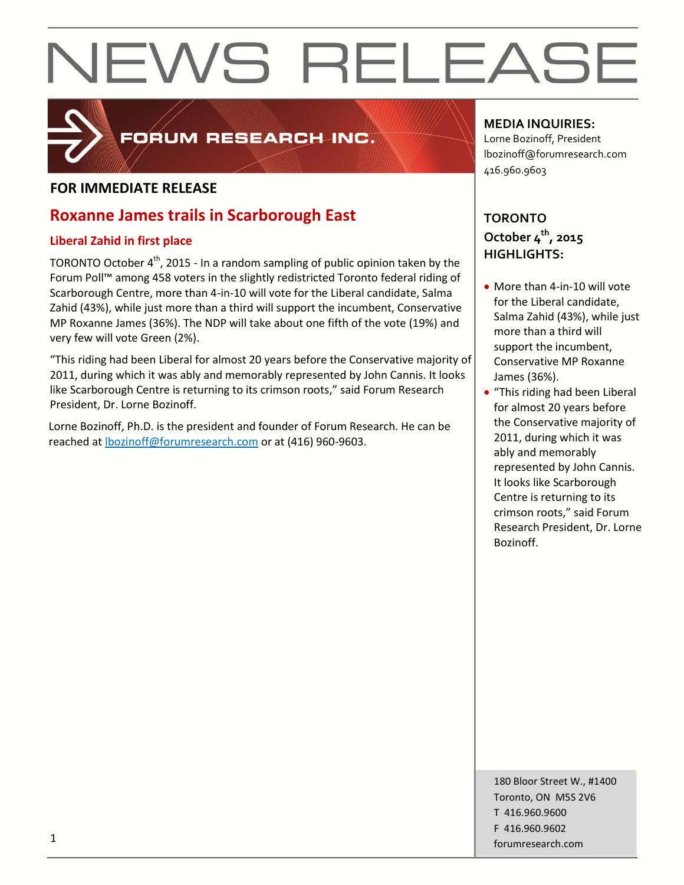

### FORUM RESEARCH INC.

#### **FOR IMMEDIATE RELEASE**

### **Roxanne James trails in Scarborough East**

#### **Liberal Zahid in first place**

TORONTO October 4<sup>th</sup>, 2015 - In a random sampling of public opinion taken by the Forum Poll™ among 458 voters in the slightly redistricted Toronto federal riding of Scarborough Centre, more than 4-in-10 will vote for the Liberal candidate, Salma Zahid (43%), while just more than a third will support the incumbent, Conservative MP Roxanne James (36%). The NDP will take about one fifth of the vote (19%) and very few will vote Green (2%).

"This riding had been Liberal for almost 20 years before the Conservative majority of 2011, during which it was ably and memorably represented by John Cannis. It looks like Scarborough Centre is returning to its crimson roots," said Forum Research President, Dr. Lorne Bozinoff.

Lorne Bozinoff, Ph.D. is the president and founder of Forum Research. He can be reached at [lbozinoff@forumresearch.com](mailto:lbozinoff@forumresearch.com) or at (416) 960-9603.

#### **MEDIA INQUIRIES:**

Lorne Bozinoff, President lbozinoff@forumresearch.com 416.960.9603

### **TORONTO October 4th, 2015 HIGHLIGHTS:**

- More than 4-in-10 will vote for the Liberal candidate, Salma Zahid (43%), while just more than a third will support the incumbent, Conservative MP Roxanne James (36%).
- "This riding had been Liberal for almost 20 years before the Conservative majority of 2011, during which it was ably and memorably represented by John Cannis. It looks like Scarborough Centre is returning to its crimson roots," said Forum Research President, Dr. Lorne Bozinoff.

180 Bloor Street W., #1400 Toronto, ON M5S 2V6 T 416.960.9600 F 416.960.9602 for the contract of the contract of the contract of the contract of the contract of the contract of the contract of the contract of the contract of the contract of the contract of the contract of the contract of the contra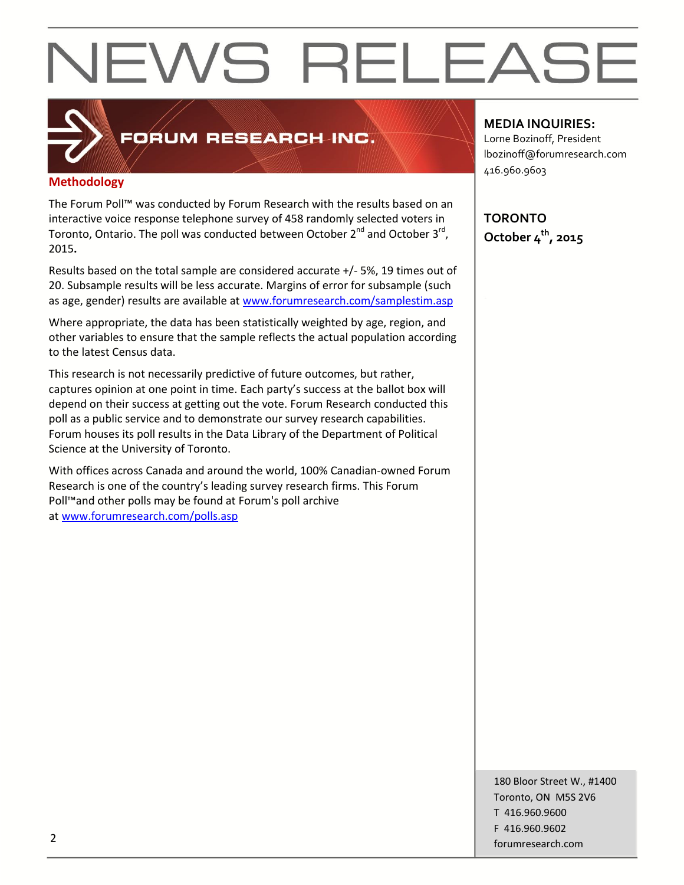### **Methodology**

The Forum Poll™ was conducted by Forum Research with the results based on an interactive voice response telephone survey of 458 randomly selected voters in Toronto, Ontario. The poll was conducted between October 2<sup>nd</sup> and October 3<sup>rd</sup>, 2015**.**

FORUM RESEARCH INC.

Results based on the total sample are considered accurate +/- 5%, 19 times out of 20. Subsample results will be less accurate. Margins of error for subsample (such as age, gender) results are available at [www.forumresearch.com/samplestim.asp](http://www.forumresearch.com/samplestim.asp)

Where appropriate, the data has been statistically weighted by age, region, and other variables to ensure that the sample reflects the actual population according to the latest Census data.

This research is not necessarily predictive of future outcomes, but rather, captures opinion at one point in time. Each party's success at the ballot box will depend on their success at getting out the vote. Forum Research conducted this poll as a public service and to demonstrate our survey research capabilities. Forum houses its poll results in the Data Library of the Department of Political Science at the University of Toronto.

With offices across Canada and around the world, 100% Canadian-owned Forum Research is one of the country's leading survey research firms. This Forum Poll™and other polls may be found at Forum's poll archive at [www.forumresearch.com/polls.asp](http://www.forumresearch.com/polls.asp)

#### **MEDIA INQUIRIES:**

Lorne Bozinoff, President lbozinoff@forumresearch.com 416.960.9603

**TORONTO October 4th, 2015**

180 Bloor Street W., #1400 Toronto, ON M5S 2V6 T 416.960.9600 F 416.960.9602 example to the contract of the contract of the contract of the contract of the contract of the contract of the contract of the contract of the contract of the contract of the contract of the contract of the contract of the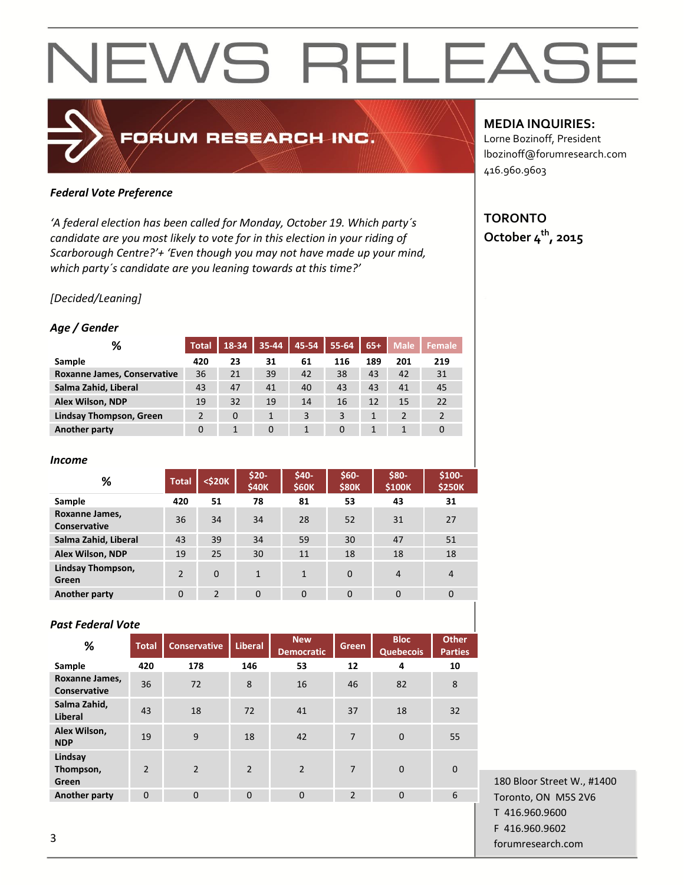#### *Federal Vote Preference*

*'A federal election has been called for Monday, October 19. Which party´s candidate are you most likely to vote for in this election in your riding of Scarborough Centre?'+ 'Even though you may not have made up your mind, which party´s candidate are you leaning towards at this time?'*

FORUM RESEARCH INC.

#### *[Decided/Leaning]*

#### *Age / Gender*

| ℅                              | <b>Total</b>   | 18-34 | 35-44    | 45-54 | 55-64    | $65+$ | <b>Male</b> | Female |
|--------------------------------|----------------|-------|----------|-------|----------|-------|-------------|--------|
| Sample                         | 420            | 23    | 31       | 61    | 116      | 189   | 201         | 219    |
| Roxanne James, Conservative    | 36             | 21    | 39       | 42    | 38       | 43    | 42          | 31     |
| Salma Zahid, Liberal           | 43             | 47    | 41       | 40    | 43       | 43    | 41          | 45     |
| <b>Alex Wilson, NDP</b>        | 19             | 32    | 19       | 14    | 16       | 12    | 15          | 22     |
| <b>Lindsay Thompson, Green</b> | $\overline{2}$ | 0     |          | 3     | 3        |       |             |        |
| <b>Another party</b>           | 0              |       | $\Omega$ |       | $\Omega$ |       |             |        |

#### *Income*

| %                              | <b>Total</b>   | <\$20K        | $$20-$<br><b>\$40K</b> | \$40-<br><b>\$60K</b> | \$60-<br><b>\$80K</b> | \$80-<br>\$100K | $$100-$<br><b>\$250K</b> |
|--------------------------------|----------------|---------------|------------------------|-----------------------|-----------------------|-----------------|--------------------------|
| Sample                         | 420            | 51            | 78                     | 81                    | 53                    | 43              | 31                       |
| Roxanne James,<br>Conservative | 36             | 34            | 34                     | 28                    | 52                    | 31              | 27                       |
| Salma Zahid, Liberal           | 43             | 39            | 34                     | 59                    | 30                    | 47              | 51                       |
| Alex Wilson, NDP               | 19             | 25            | 30                     | 11                    | 18                    | 18              | 18                       |
| Lindsay Thompson,<br>Green     | $\mathfrak{p}$ | $\Omega$      | $\mathbf{1}$           | $\mathbf{1}$          | $\Omega$              | $\overline{4}$  | $\overline{4}$           |
| <b>Another party</b>           | $\Omega$       | $\mathcal{P}$ | $\Omega$               | $\Omega$              | $\Omega$              | 0               | 0                        |

#### *Past Federal Vote*

| $\%$                           | <b>Total</b>   | <b>Conservative</b> | <b>Liberal</b> | <b>New</b><br><b>Democratic</b> | Green          | <b>Bloc</b><br><b>Quebecois</b> | <b>Other</b><br><b>Parties</b> |
|--------------------------------|----------------|---------------------|----------------|---------------------------------|----------------|---------------------------------|--------------------------------|
| Sample                         | 420            | 178                 | 146            | 53                              | 12             | 4                               | 10                             |
| Roxanne James,<br>Conservative | 36             | 72                  | 8              | 16                              | 46             | 82                              | 8                              |
| Salma Zahid,<br>Liberal        | 43             | 18                  | 72             | 41                              | 37             | 18                              | 32                             |
| Alex Wilson,<br><b>NDP</b>     | 19             | 9                   | 18             | 42                              | 7              | $\mathbf 0$                     | 55                             |
| Lindsay<br>Thompson,<br>Green  | $\overline{2}$ | $\mathcal{P}$       | $\overline{2}$ | $\overline{2}$                  | 7              | $\mathbf 0$                     | $\Omega$                       |
| <b>Another party</b>           | $\Omega$       | $\Omega$            | $\Omega$       | $\Omega$                        | $\overline{2}$ | $\Omega$                        | 6                              |
|                                |                |                     |                |                                 |                |                                 |                                |

180 Bloor Street W., #1400 Toronto, ON M5S 2V6 T 416.960.9600 F 416.960.9602 forumresearch.com and the set of the set of the set of the set of the set of the set of the set of the set of the set of the set of the set of the set of the set of the set of the set of the set of the set of the set of th

#### **MEDIA INQUIRIES:**

Lorne Bozinoff, President lbozinoff@forumresearch.com 416.960.9603

#### **TORONTO October 4th, 2015**